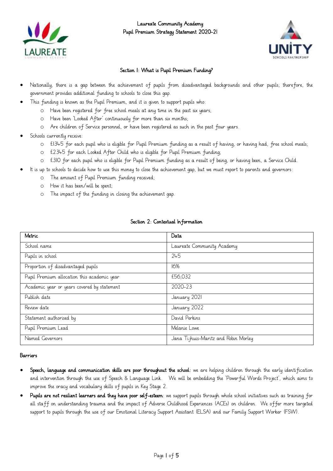

Laureate Community Academy Pupil Premium Strategy Statement 2020-21



## Section 1: What is Pupil Premium Funding?

- Nationally, there is a gap between the achievement of pupils from disadvantaged backgrounds and other pupils; therefore, the government provides additional funding to schools to close this gap.
- This funding is known as the Pupil Premium, and it is given to support pupils who:
	- o Have been registered for free school meals at any time in the past six years;
	- o Have been 'Looked After' continuously for more than six months;
	- o Are children of Service personnel, or have been registered as such in the past four years.
- Schools currently receive
	- o £1345 for each pupil who is eligible for Pupil Premium funding as a result of having, or having had, free school meals;
	- o £2345 for each Looked After Child who is eligible for Pupil Premium funding;
	- o £310 for each pupil who is eligible for Pupil Premium funding as a result of being, or having been, a Service Child.
- It is up to schools to decide how to use this money to close the achievement gap, but we must report to parents and governors:
	- o The amount of Pupil Premium funding received;
	- o How it has been/will be spent;
	- o The impact of the funding in closing the achievement gap.

| Metric                                      | Data                                  |
|---------------------------------------------|---------------------------------------|
| School name                                 | Laureate Community Academy            |
| Pupils in school                            | 245                                   |
| Proportion of disadvantaged pupils          | 16%                                   |
| Pupil Premium allocation this academic year | £56,032                               |
| Academic year or years covered by statement | 2020-23                               |
| Publish date                                | January 2021                          |
| Review date                                 | January 2022                          |
| Statement authorised by                     | David Perkins                         |
| Pupil Premium Lead                          | Melanie Lowe                          |
| Named Governors                             | Jana Ti jhuis-Maritz and Robin Morley |

### Section 2: Contextual Information

### Barriers

- Speech, language and communication skills are poor throughout the school: we are helping children through the early identification and intervention through the use of Speech & Language Link. We will be embedding the 'Powerful Words Project', which aims to improve the oracy and vocabulary skills of pupils in Key Stage 2.
- Pupils are not resilient learners and they have poor self-esteem: we support pupils through whole school initiatives such as training for all staff on understanding trauma and the impact of Adverse Childhood Experiences (ACEs) on children. We offer more targeted support to pupils through the use of our Emotional Literacy Support Assistant (ELSA) and our Family Support Worker (FSW).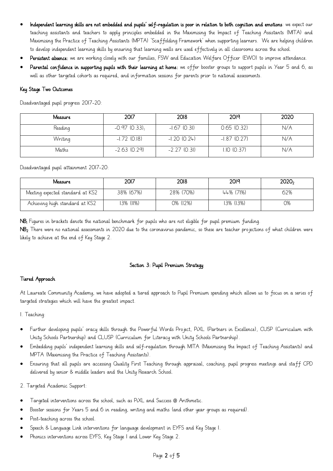- Independent learning skills are not embedded and pupils' self-regulation is poor in relation to both cognition and emotions: we expect our teaching assistants and teachers to apply principles embedded in the Maximising the Impact of Teaching Assistants (MITA) and Maximising the Practice of Teaching Assistants (MPTA) 'Scaffolding Framework' when supporting learners. We are helping children to develop independent learning skills by ensuring that learning walls are used effectively in all classrooms across the school.
- Persistent absence: we are working closely with our families, FSW and Education Welfare Officer (EWO) to improve attendance.
- Parental confidence in supporting pupils with their learning at home: we offer booster groups to support pupils in Year 5 and 6, as well as other targeted cohorts as required, and information sessions for parents prior to national assessments.

### Key Stage Two Outcomes

Disadvantaged pupil progress 2017-20:

| Measure | 2017           | 2018           | 2019           | 2020 |
|---------|----------------|----------------|----------------|------|
| Reading | $-0.97(0.33)$  | $-1.67$ (0.31) | 0.65(0.32)     | N/A  |
| Writing | $-1.72$ (0.18) | $-1.20(0.24)$  | $-1.87$ (0.27) | N/A  |
| Maths   | $-2.63$ (0.29) | $-2.27$ (0.31) | 1.10 (0.37)    | N/A  |

Disadvantaged pupil attainment 2017-20:

| Measure                          | 2017      | 2018      | 2019      | 2020, |
|----------------------------------|-----------|-----------|-----------|-------|
| Meeting expected standard at KS2 | 38% (67%) | 28% (70%) | 44% (71%) | 62%   |
| Achieving high standard at KS2   | 13% (II%) | 0% (12%)  | 13% (13%) | Ο%    |

NB1 Figures in brackets denote the national benchmark for pupils who are not eligible for pupil premium funding.

NB<sub>2</sub> There were no national assessments in 2020 due to the coronavirus pandemic, so these are teacher projections of what children were likely to achieve at the end of Key Stage 2.

### Section 3: Pupil Premium Strategy

### Tiered Approach

At Laureate Community Academy, we have adopted a tiered approach to Pupil Premium spending which allows us to focus on a series of targeted strategies which will have the greatest impact.

1. Teaching:

- Further developing pupils' oracy skills through the Powerful Words Project, PiXL (Partners in Excellence), CUSP (Curriculum with Unity Schools Partnership) and CLUSP (Curriculum for Literacy with Unity Schools Partnership).
- Embedding pupils' independent learning skills and self-regulation through MITA (Maximising the Impact of Teaching Assistants) and MPTA (Maximising the Practice of Teaching Assistants).
- Ensuring that all pupils are accessing Quality First Teaching through appraisal, coaching, pupil progress meetings and staff CPD delivered by senior & middle leaders and the Unity Research School.

2. Targeted Academic Support:

- Targeted interventions across the school, such as PiXL and Success @ Arithmetic.
- Booster sessions for Years 5 and 6 in reading, writing and maths (and other year groups as required).
- Post-teaching across the school.
- Speech & Language Link interventions for language development in EYFS and Key Stage 1.
- Phonics interventions across EYFS, Key Stage 1 and Lower Key Stage 2.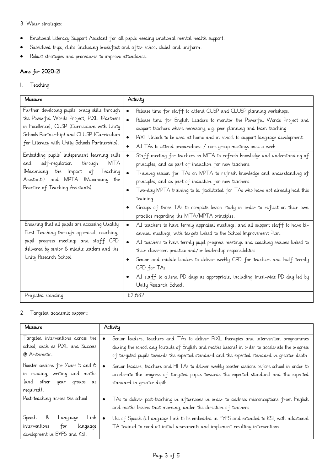### 3. Wider strategies:

- Emotional Literacy Support Assistant for all pupils needing emotional mental health support.
- Subsidised trips, clubs (including breakfast and after school clubs) and uniform.
- Robust strategies and procedures to improve attendance.

# Aims for 2020-21

### 1. Teaching:

| Measure                                                                                                                                                                                                                                     | Activity                                                                                                                                                                                                                                                                                                                                                                                                                                                                                                                                                                         |
|---------------------------------------------------------------------------------------------------------------------------------------------------------------------------------------------------------------------------------------------|----------------------------------------------------------------------------------------------------------------------------------------------------------------------------------------------------------------------------------------------------------------------------------------------------------------------------------------------------------------------------------------------------------------------------------------------------------------------------------------------------------------------------------------------------------------------------------|
| Further developing pupils' oracy skills through<br>the Powerful Words Project, PiXL (Partners<br>in Excellence), CUSP (Curriculum with Unity<br>Schools Partnership) and CLUSP (Curriculum<br>for Literacy with Unity Schools Partnership). | Release time for staff to attend CUSP and CLUSP planning workshops.<br>$\bullet$<br>Release time for English Leaders to monitor the Powerful Words Project and<br>$\bullet$<br>support teachers where necessary, e.g. peer planning and team teaching.<br>PiXL Unlock to be used at home and in school to support language development.<br>$\bullet$<br>All TAs to attend preparedness / core group meetings once a week.<br>$\bullet$                                                                                                                                           |
| Embedding pupils' independent learning skills<br>self-regulation<br>through<br>MITA<br>and<br>(Maximising the Impact of<br>Teaching<br>Assistants) and MPTA (Maximising the<br>Practice of Teaching Assistants).                            | Staff meeting for teachers on MITA to refresh knowledge and understanding of<br>$\bullet$<br>principles, and as part of induction for new teachers.<br>Training session for TAs on MPTA to refresh knowledge and understanding of<br>$\bullet$<br>principles, and as part of induction for new teachers.<br>Two-day MPTA training to be facilitated for TAs who have not already had this<br>$\bullet$<br>training.<br>Groups of three TAs to complete lesson study in order to reflect on their own<br>$\bullet$<br>practice regarding the MITA/MPTA principles.                |
| Ensuring that all pupils are accessing Quality<br>First Teaching through appraisal, coaching,<br>pupil progress meetings and staff CPD<br>delivered by senior & middle leaders and the<br>Unity Research School.                            | All teachers to have termly appraisal meetings, and all support staff to have bi-<br>$\bullet$<br>annual meetings, with targets linked to the School Improvement Plan.<br>All teachers to have termly pupil progress meetings and coaching sessions linked to<br>$\bullet$<br>their classroom practice and/or leadership responsibilities.<br>Senior and middle leaders to deliver weekly CPD for teachers and half termly<br>$\bullet$<br>CPD for TAs.<br>All staff to attend PD days as appropriate, including trust-wide PD day led by<br>$\bullet$<br>Unity Research School. |
| Projected spending                                                                                                                                                                                                                          | £2,682                                                                                                                                                                                                                                                                                                                                                                                                                                                                                                                                                                           |

# 2. Targeted academic support:

| Measure                                                                                                              | Activity                                                                                                                                                                                                                                                                                                |
|----------------------------------------------------------------------------------------------------------------------|---------------------------------------------------------------------------------------------------------------------------------------------------------------------------------------------------------------------------------------------------------------------------------------------------------|
| Targeted interventions across the<br>school, such as PiXL and Success<br>@ Arithmetic.                               | Senior leaders, teachers and TAs to deliver PiXL therapies and intervention programmes<br>$\bullet$<br>during the school day (outside of English and maths lessons) in order to accelerate the progress<br>of targeted pupils towards the expected standard and the expected standard in greater depth. |
| Booster sessions for Years 5 and 6<br>in reading, writing and maths<br>land other year<br>qroups<br>as<br>required). | Senior leaders, teachers and HLTAs to deliver weekly booster sessions before school in order to<br>$\bullet$<br>accelerate the progress of targeted pupils towards the expected standard and the expected<br>standard in greater depth.                                                                 |
| Post-teaching across the school.                                                                                     | TAs to deliver post-teaching in afternoons in order to address misconceptions from English<br>$\bullet$<br>and maths lessons that morning, under the direction of teachers.                                                                                                                             |
| Speech &<br>Link<br>Language<br>for<br>interventions<br>language<br>development in EYFS and KSI.                     | Use of Speech & Language Link to be embedded in EYFS and extended to KSI, with additional<br>$\bullet$<br>TA trained to conduct initial assessments and implement resulting interventions.                                                                                                              |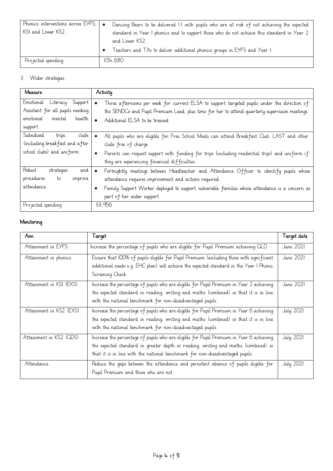| Phonics interventions across EYFS, $\bullet$ | Dancing Bears to be delivered 1:1 with pupils who are at risk of not achieving the expected |
|----------------------------------------------|---------------------------------------------------------------------------------------------|
| KSI and Lower KS2.                           | standard in Year I phonics and to support those who do not achieve this standard in Year 2  |
|                                              | and Lower KS2.                                                                              |
|                                              | Teachers and TAs to deliver additional phonics groups in EYFS and Year I.                   |
| Projected spending                           | £54,680                                                                                     |

# 3. Wider strategies:

| Measure                                                                                                           | Activity                                                                                                                                                                                                                                                                                       |
|-------------------------------------------------------------------------------------------------------------------|------------------------------------------------------------------------------------------------------------------------------------------------------------------------------------------------------------------------------------------------------------------------------------------------|
| Emotional<br>Support<br>Literacy<br>Assistant for all pupils needing<br>health<br>emotional<br>mental<br>support. | Three afternoons per week for current ELSA to support targeted pupils under the direction of<br>$\bullet$<br>the SENDCo and Pupil Premium Lead, plus time for her to attend quarterly supervision meetings.<br>Additional ELSA to be trained.<br>$\bullet$                                     |
| Subsidised<br>clubs<br>trips,<br>(including break fast and after<br>school clubs) and uniform.                    | All pupils who are eligible for Free School Meals can attend Breakfast Club, LAST and other<br>clubs free of charge.<br>Parents can request support with funding for trips (including residential trips) and uniform if<br>$\bullet$<br>they are experiencing financial difficulties.          |
| Robust<br>strategies<br>and<br>procedures<br>to<br>improve<br>attendance.                                         | Fortnightly meetings between Headteacher and Attendance Officer to identify pupils whose<br>$\bullet$<br>attendance requires improvement and actions required.<br>Family Support Worker deployed to support vulnerable families whose attendance is a concern as<br>part of her wider support. |
| Projected spending                                                                                                | £11,956                                                                                                                                                                                                                                                                                        |

# Monitoring

| Aim.                     | Target                                                                                                                                                                                                                                                         | Tarqet date      |
|--------------------------|----------------------------------------------------------------------------------------------------------------------------------------------------------------------------------------------------------------------------------------------------------------|------------------|
| Attainment in EYFS.      | Increase the percentage of pupils who are eligible for Pupil Premium achieving GLD.                                                                                                                                                                            | June 2021        |
| Attainment in phonics.   | Ensure that IOO% of pupils eligible for Pupil Premium (excluding those with significant<br>additional needs e.g. EHC plan) will achieve the expected standard in the Year I Phonic<br>Screening Check.                                                         | June 2021        |
| Attainment in KSI (EXS). | Increase the percentage of pupils who are eligible for Pupil Premium in Year 2 achieving<br>the expected standard in reading, writing and maths (combined) so that it is in line<br>with the national benchmark for non-disadvantaged pupils.                  | <b>June 2021</b> |
| Attainment in KS2 (EXS). | Increase the percentage of pupils who are eligible for Pupil Premium in Year 6 achieving<br>the expected standard in reading, writing and maths (combined) so that it is in line<br>with the national benchmark for non-disadvantaged pupils.                  | <b>July 2021</b> |
| Attainment in KS2 (GDS). | Increase the percentage of pupils who are eligible for Pupil Premium in Year 6 achieving<br>the expected standard in greater depth in reading, writing and maths (combined) so<br>that it is in line with the national benchmark for non-disadvantaged pupils. | <b>July 2021</b> |
| Attendance.              | Reduce the gaps between the attendance and persistent absence of pupils eligible for<br>Pupil Premium and those who are not.                                                                                                                                   | <b>July 2021</b> |